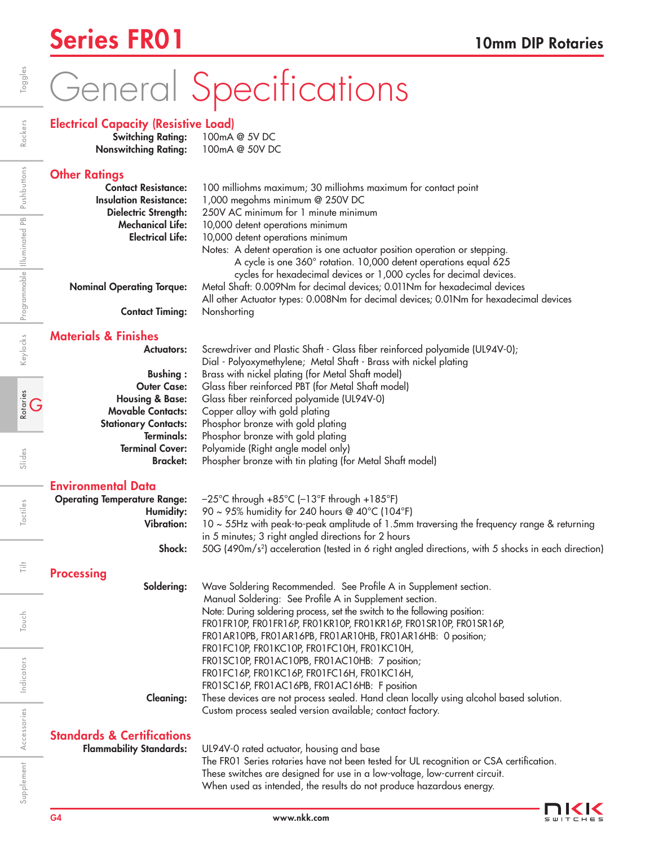# General Specifications

### Electrical Capacity (Resistive Load)<br>Switching Rating: 100mA @ 5V DC

Switching Rating: Nonswitching Rating: 100mA @ 50V DC

| <b>Other Ratings</b>                                   |                                                                                                                                                                      |
|--------------------------------------------------------|----------------------------------------------------------------------------------------------------------------------------------------------------------------------|
| <b>Contact Resistance:</b>                             | 100 milliohms maximum; 30 milliohms maximum for contact point                                                                                                        |
| <b>Insulation Resistance:</b>                          | 1,000 megohms minimum @ 250V DC                                                                                                                                      |
| <b>Dielectric Strength:</b>                            | 250V AC minimum for 1 minute minimum                                                                                                                                 |
| <b>Mechanical Life:</b>                                | 10,000 detent operations minimum                                                                                                                                     |
| <b>Electrical Life:</b>                                | 10,000 detent operations minimum                                                                                                                                     |
|                                                        | Notes: A detent operation is one actuator position operation or stepping.<br>A cycle is one 360° rotation. 10,000 detent operations equal 625                        |
|                                                        | cycles for hexadecimal devices or 1,000 cycles for decimal devices.                                                                                                  |
| <b>Nominal Operating Torque:</b>                       | Metal Shaft: 0.009Nm for decimal devices; 0.011Nm for hexadecimal devices                                                                                            |
|                                                        | All other Actuator types: 0.008Nm for decimal devices; 0.01Nm for hexadecimal devices                                                                                |
| <b>Contact Timing:</b>                                 | Nonshorting                                                                                                                                                          |
| <b>Materials &amp; Finishes</b>                        |                                                                                                                                                                      |
| <b>Actuators:</b>                                      | Screwdriver and Plastic Shaft - Glass fiber reinforced polyamide (UL94V-0);                                                                                          |
|                                                        | Dial - Polyoxymethylene; Metal Shaft - Brass with nickel plating                                                                                                     |
| <b>Bushing:</b>                                        | Brass with nickel plating (for Metal Shaft model)                                                                                                                    |
| <b>Outer Case:</b>                                     | Glass fiber reinforced PBT (for Metal Shaft model)                                                                                                                   |
| <b>Housing &amp; Base:</b><br><b>Movable Contacts:</b> | Glass fiber reinforced polyamide (UL94V-0)<br>Copper alloy with gold plating                                                                                         |
| <b>Stationary Contacts:</b>                            | Phosphor bronze with gold plating                                                                                                                                    |
| Terminals:                                             | Phosphor bronze with gold plating                                                                                                                                    |
| <b>Terminal Cover:</b>                                 | Polyamide (Right angle model only)                                                                                                                                   |
| <b>Bracket:</b>                                        | Phospher bronze with tin plating (for Metal Shaft model)                                                                                                             |
| <b>Environmental Data</b>                              |                                                                                                                                                                      |
| <b>Operating Temperature Range:</b>                    | $-25^{\circ}$ C through +85 $^{\circ}$ C (-13 $^{\circ}$ F through +185 $^{\circ}$ F)                                                                                |
| Humidity:                                              | 90 ~ 95% humidity for 240 hours @ 40°C (104°F)                                                                                                                       |
| <b>Vibration:</b>                                      | 10 ~ 55Hz with peak-to-peak amplitude of 1.5mm traversing the frequency range & returning                                                                            |
|                                                        | in 5 minutes; 3 right angled directions for 2 hours                                                                                                                  |
| Shock:                                                 | 50G (490m/s <sup>2</sup> ) acceleration (tested in 6 right angled directions, with 5 shocks in each direction)                                                       |
| <b>Processing</b>                                      |                                                                                                                                                                      |
| Soldering:                                             | Wave Soldering Recommended. See Profile A in Supplement section.<br>Manual Soldering: See Profile A in Supplement section.                                           |
|                                                        | Note: During soldering process, set the switch to the following position:                                                                                            |
|                                                        | FRO1FR10P, FRO1FR16P, FRO1KR10P, FRO1KR16P, FRO1SR10P, FRO1SR16P,                                                                                                    |
|                                                        | FRO1AR10PB, FRO1AR16PB, FRO1AR10HB, FRO1AR16HB: 0 position;                                                                                                          |
|                                                        | FRO1FC10P, FRO1KC10P, FRO1FC10H, FRO1KC10H,                                                                                                                          |
|                                                        | FR01SC10P, FR01AC10PB, FR01AC10HB: 7 position;                                                                                                                       |
|                                                        | FRO1FC16P, FRO1KC16P, FRO1FC16H, FRO1KC16H,                                                                                                                          |
|                                                        | FR01SC16P, FR01AC16PB, FR01AC16HB: F position                                                                                                                        |
| <b>Cleaning:</b>                                       | These devices are not process sealed. Hand clean locally using alcohol based solution.<br>Custom process sealed version available; contact factory.                  |
|                                                        |                                                                                                                                                                      |
| <b>Standards &amp; Certifications</b>                  |                                                                                                                                                                      |
| <b>Flammability Standards:</b>                         | UL94V-0 rated actuator, housing and base                                                                                                                             |
|                                                        | The FRO1 Series rotaries have not been tested for UL recognition or CSA certification.<br>These switches are designed for use in a low-voltage, low-current circuit. |

Indicators

Accessories

Supplement Accessories Indicators

Toggles

Rotaries<br>G

Slides

Tactiles

Ë

Touch

When used as intended, the results do not produce hazardous energy.

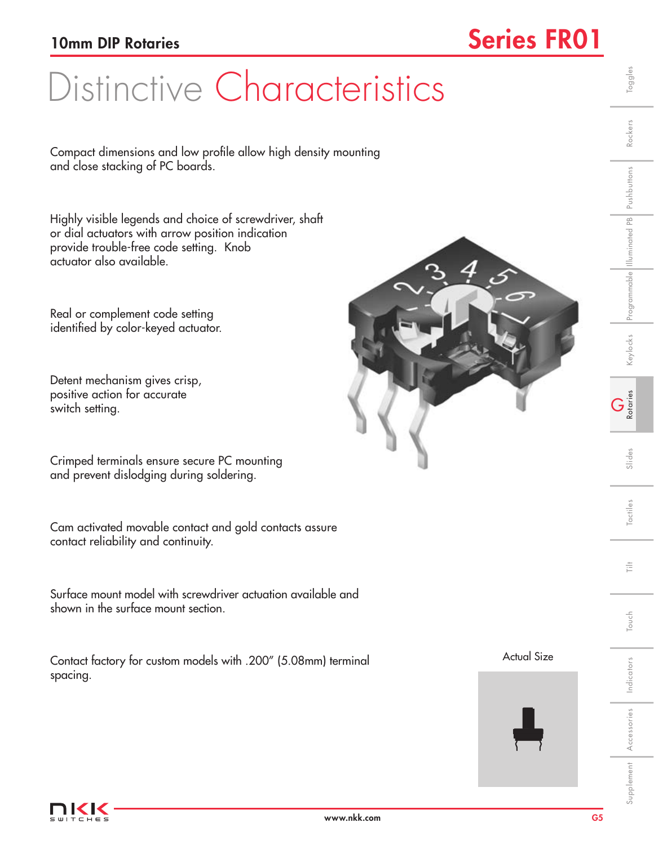## 10mm DIP Rotaries Series FRO1

# Distinctive Characteristics

Compact dimensions and low profile allow high density mounting and close stacking of PC boards.

Highly visible legends and choice of screwdriver, shaft or dial actuators with arrow position indication provide trouble-free code setting. Knob actuator also available.

Real or complement code setting identified by color-keyed actuator.

Detent mechanism gives crisp, positive action for accurate switch setting.

Crimped terminals ensure secure PC mounting and prevent dislodging during soldering.

Cam activated movable contact and gold contacts assure contact reliability and continuity.

Surface mount model with screwdriver actuation available and shown in the surface mount section.

Contact factory for custom models with .200" (5.08mm) terminal spacing.

#### Actual Size



言

Indicators

www.nkk.com G5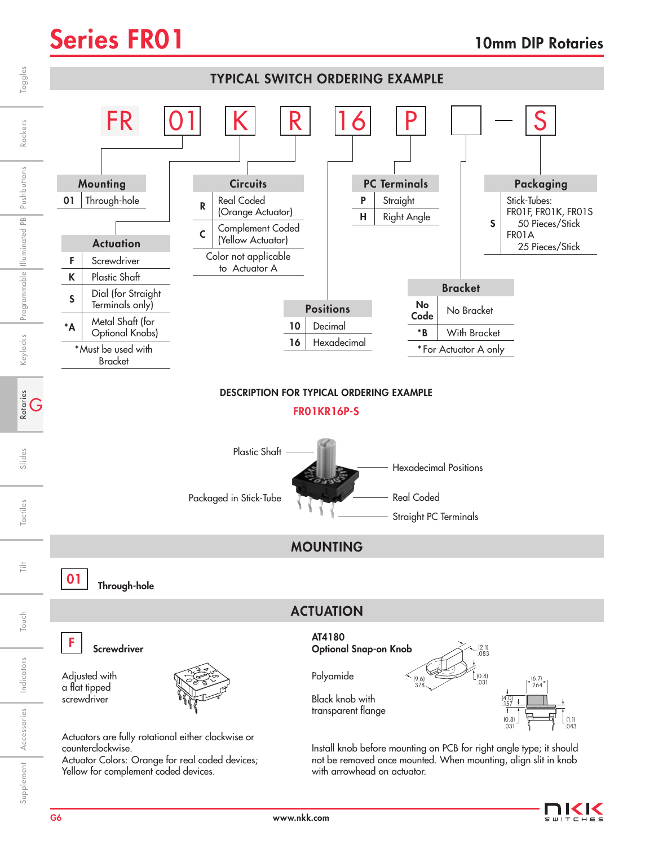

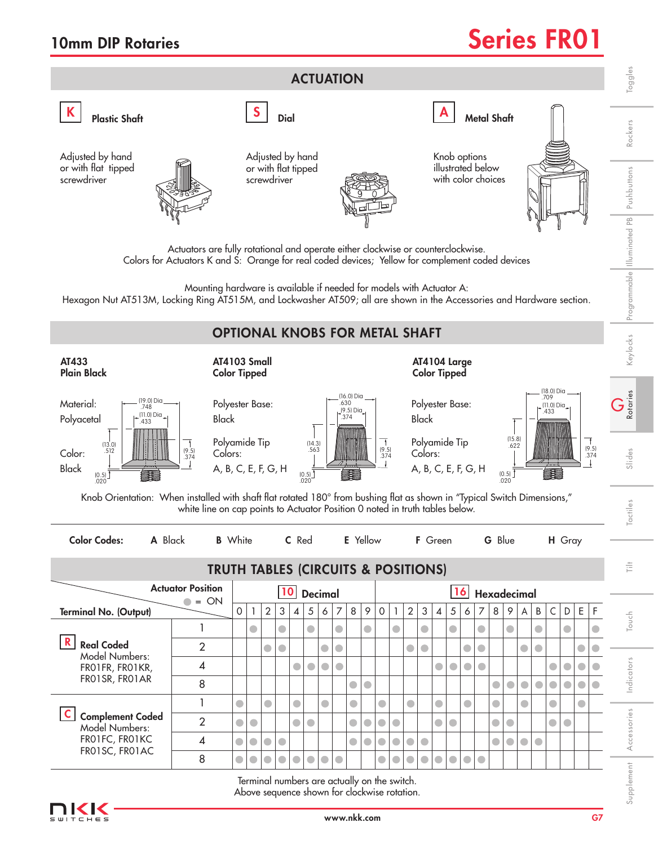## 10mm DIP Rotaries and the Series FRO1



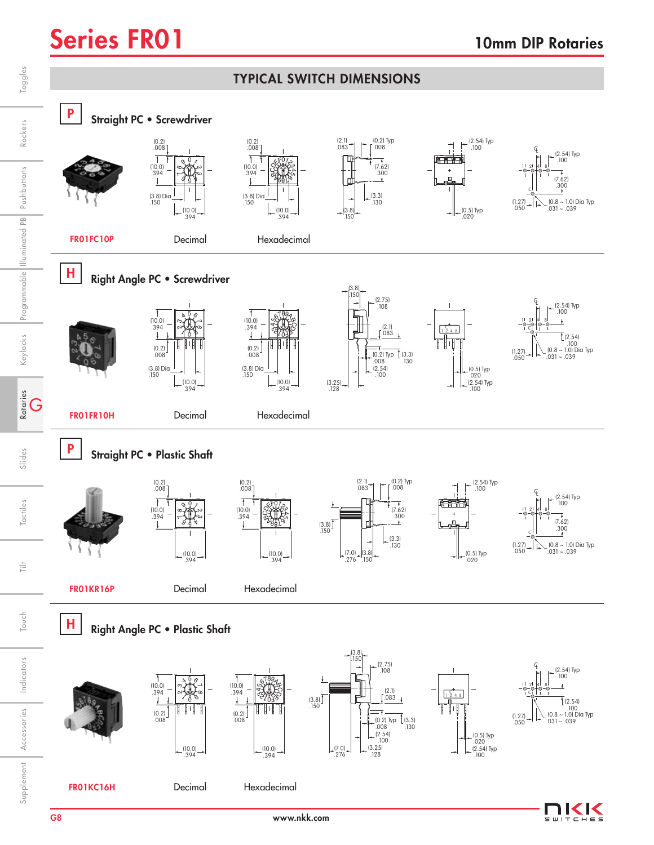$\subset$  K

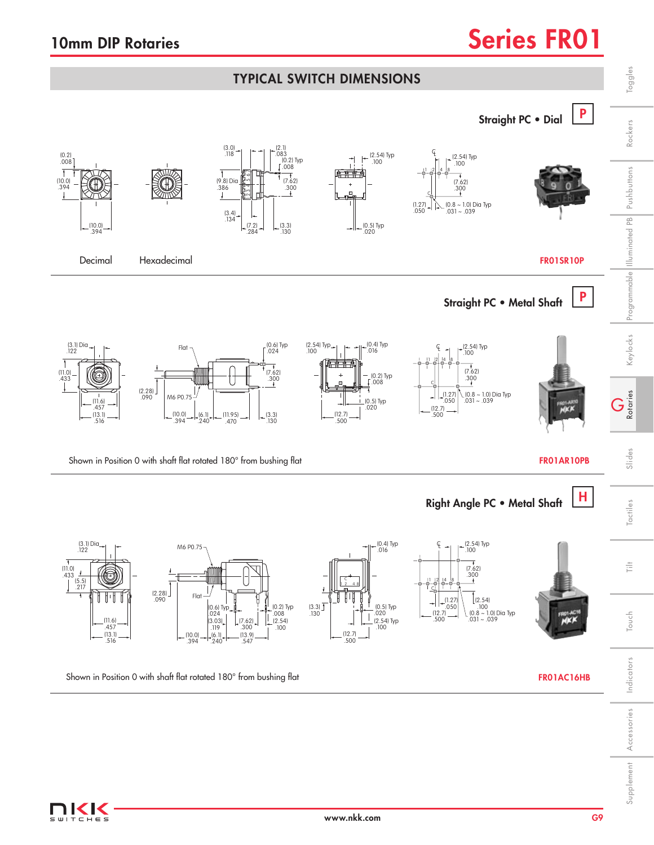### 10mm DIP Rotaries Series FRO1

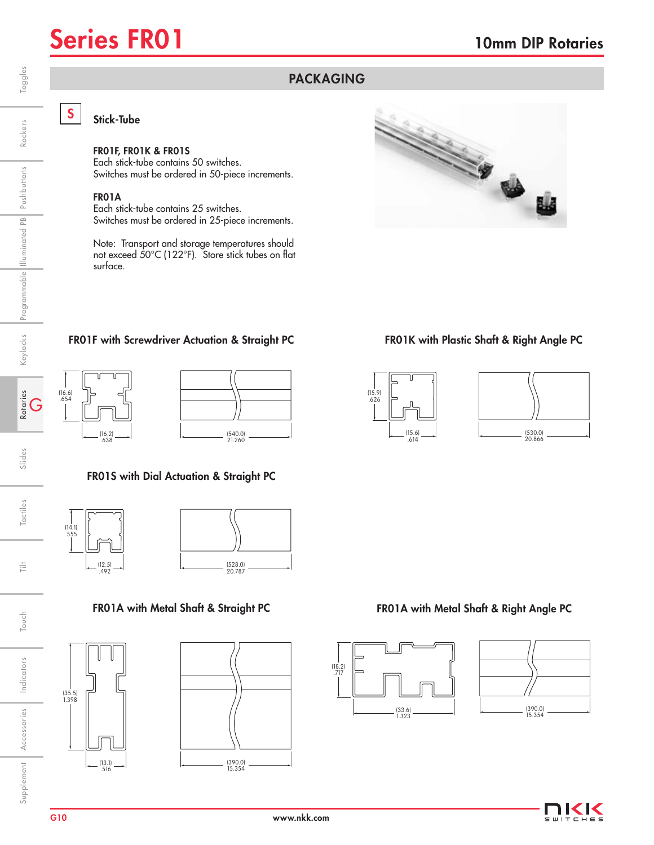

Rockers

Keylocks Programmable Illuminated PB Pushbuttons

### S Stick-Tube

### FR01F, FR01K & FR01S

Each stick-tube contains 50 switches. Switches must be ordered in 50-piece increments.

#### FR01A

Each stick-tube contains 25 switches. Switches must be ordered in 25-piece increments.

Note: Transport and storage temperatures should not exceed 50°C (122°F). Store stick tubes on flat surface.



#### FR01F with Screwdriver Actuation & Straight PC





### FR01S with Dial Actuation & Straight PC









#### FR01K with Plastic Shaft & Right Angle PC



PACKAGING



#### FR01A with Metal Shaft & Straight PC FR01A with Metal Shaft & Right Angle PC







Indicators

Indicators

Rotaries<br>G

Slides

Tactiles

ŧ

Touch

Accessories

Supplement Accessories